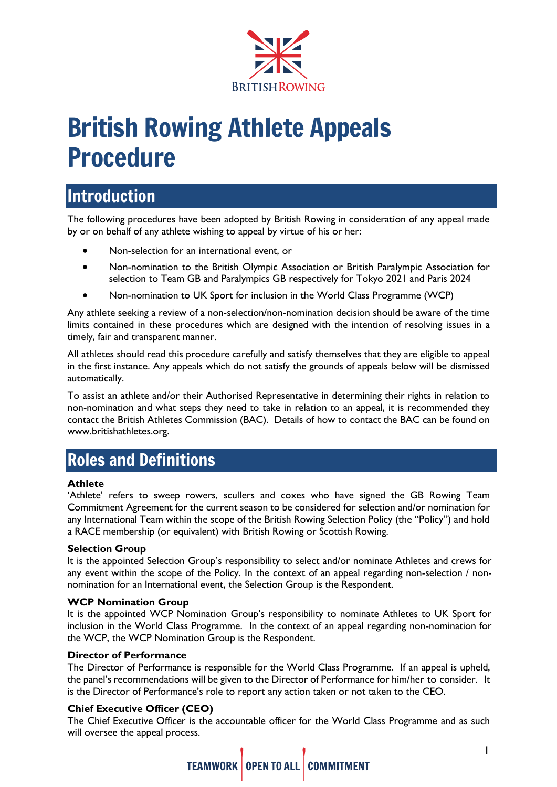

# British Rowing Athlete Appeals Procedure

# Introduction

The following procedures have been adopted by British Rowing in consideration of any appeal made by or on behalf of any athlete wishing to appeal by virtue of his or her:

- Non-selection for an international event, or
- Non-nomination to the British Olympic Association or British Paralympic Association for selection to Team GB and Paralympics GB respectively for Tokyo 2021 and Paris 2024
- Non-nomination to UK Sport for inclusion in the World Class Programme (WCP)

Any athlete seeking a review of a non-selection/non-nomination decision should be aware of the time limits contained in these procedures which are designed with the intention of resolving issues in a timely, fair and transparent manner.

All athletes should read this procedure carefully and satisfy themselves that they are eligible to appeal in the first instance. Any appeals which do not satisfy the grounds of appeals below will be dismissed automatically.

To assist an athlete and/or their Authorised Representative in determining their rights in relation to non-nomination and what steps they need to take in relation to an appeal, it is recommended they contact the British Athletes Commission (BAC). Details of how to contact the BAC can be found on [www.britishathletes.org.](http://www.britishathletes.org/)

# Roles and Definitions

#### **Athlete**

'Athlete' refers to sweep rowers, scullers and coxes who have signed the GB Rowing Team Commitment Agreement for the current season to be considered for selection and/or nomination for any International Team within the scope of the British Rowing Selection Policy (the "Policy") and hold a RACE membership (or equivalent) with British Rowing or Scottish Rowing.

#### **Selection Group**

It is the appointed Selection Group's responsibility to select and/or nominate Athletes and crews for any event within the scope of the Policy. In the context of an appeal regarding non-selection / nonnomination for an International event, the Selection Group is the Respondent.

#### **WCP Nomination Group**

It is the appointed WCP Nomination Group's responsibility to nominate Athletes to UK Sport for inclusion in the World Class Programme. In the context of an appeal regarding non-nomination for the WCP, the WCP Nomination Group is the Respondent.

#### **Director of Performance**

The Director of Performance is responsible for the World Class Programme. If an appeal is upheld, the panel's recommendations will be given to the Director of Performance for him/her to consider. It is the Director of Performance's role to report any action taken or not taken to the CEO.

#### **Chief Executive Officer (CEO)**

The Chief Executive Officer is the accountable officer for the World Class Programme and as such will oversee the appeal process.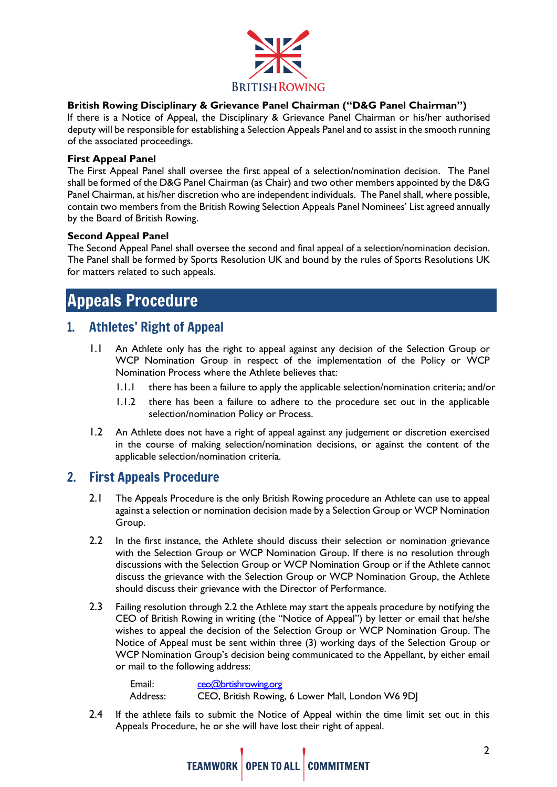

#### **British Rowing Disciplinary & Grievance Panel Chairman ("D&G Panel Chairman")**

If there is a Notice of Appeal, the Disciplinary & Grievance Panel Chairman or his/her authorised deputy will be responsible for establishing a Selection Appeals Panel and to assist in the smooth running of the associated proceedings.

#### **First Appeal Panel**

The First Appeal Panel shall oversee the first appeal of a selection/nomination decision. The Panel shall be formed of the D&G Panel Chairman (as Chair) and two other members appointed by the D&G Panel Chairman, at his/her discretion who are independent individuals. The Panel shall, where possible, contain two members from the British Rowing Selection Appeals Panel Nominees' List agreed annually by the Board of British Rowing.

#### **Second Appeal Panel**

The Second Appeal Panel shall oversee the second and final appeal of a selection/nomination decision. The Panel shall be formed by Sports Resolution UK and bound by the rules of Sports Resolutions UK for matters related to such appeals.

# Appeals Procedure

### 1. Athletes' Right of Appeal

- 1.1 An Athlete only has the right to appeal against any decision of the Selection Group or WCP Nomination Group in respect of the implementation of the Policy or WCP Nomination Process where the Athlete believes that:
	- 1.1.1 there has been a failure to apply the applicable selection/nomination criteria; and/or
	- 1.1.2 there has been a failure to adhere to the procedure set out in the applicable selection/nomination Policy or Process.
- 1.2 An Athlete does not have a right of appeal against any judgement or discretion exercised in the course of making selection/nomination decisions, or against the content of the applicable selection/nomination criteria.

### 2. First Appeals Procedure

- 2.1 The Appeals Procedure is the only British Rowing procedure an Athlete can use to appeal against a selection or nomination decision made by a Selection Group or WCP Nomination Group.
- 2.2 In the first instance, the Athlete should discuss their selection or nomination grievance with the Selection Group or WCP Nomination Group. If there is no resolution through discussions with the Selection Group or WCP Nomination Group or if the Athlete cannot discuss the grievance with the Selection Group or WCP Nomination Group, the Athlete should discuss their grievance with the Director of Performance.
- 2.3 Failing resolution through 2.2 the Athlete may start the appeals procedure by notifying the CEO of British Rowing in writing (the "Notice of Appeal") by letter or email that he/she wishes to appeal the decision of the Selection Group or WCP Nomination Group. The Notice of Appeal must be sent within three (3) working days of the Selection Group or WCP Nomination Group's decision being communicated to the Appellant, by either email or mail to the following address:

| Email:   | $ceo$ @brtishrowing.org                          |
|----------|--------------------------------------------------|
| Address: | CEO, British Rowing, 6 Lower Mall, London W6 9DJ |

2.4 If the athlete fails to submit the Notice of Appeal within the time limit set out in this Appeals Procedure, he or she will have lost their right of appeal.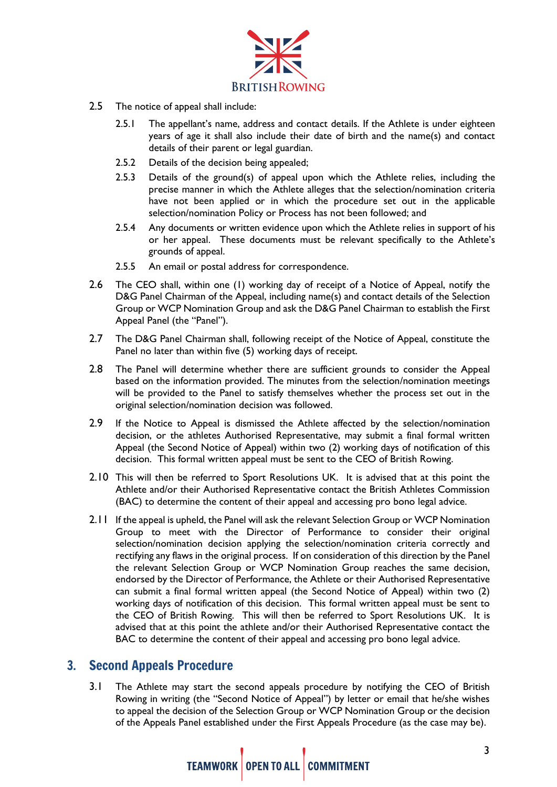

- 2.5 The notice of appeal shall include:
	- 2.5.1 The appellant's name, address and contact details. If the Athlete is under eighteen years of age it shall also include their date of birth and the name(s) and contact details of their parent or legal guardian.
	- 2.5.2 Details of the decision being appealed;
	- 2.5.3 Details of the ground(s) of appeal upon which the Athlete relies, including the precise manner in which the Athlete alleges that the selection/nomination criteria have not been applied or in which the procedure set out in the applicable selection/nomination Policy or Process has not been followed; and
	- 2.5.4 Any documents or written evidence upon which the Athlete relies in support of his or her appeal. These documents must be relevant specifically to the Athlete's grounds of appeal.
	- 2.5.5 An email or postal address for correspondence.
- 2.6 The CEO shall, within one (1) working day of receipt of a Notice of Appeal, notify the D&G Panel Chairman of the Appeal, including name(s) and contact details of the Selection Group or WCP Nomination Group and ask the D&G Panel Chairman to establish the First Appeal Panel (the "Panel").
- 2.7 The D&G Panel Chairman shall, following receipt of the Notice of Appeal, constitute the Panel no later than within five (5) working days of receipt.
- 2.8 The Panel will determine whether there are sufficient grounds to consider the Appeal based on the information provided. The minutes from the selection/nomination meetings will be provided to the Panel to satisfy themselves whether the process set out in the original selection/nomination decision was followed.
- 2.9 If the Notice to Appeal is dismissed the Athlete affected by the selection/nomination decision, or the athletes Authorised Representative, may submit a final formal written Appeal (the Second Notice of Appeal) within two (2) working days of notification of this decision. This formal written appeal must be sent to the CEO of British Rowing.
- 2.10 This will then be referred to Sport Resolutions UK. It is advised that at this point the Athlete and/or their Authorised Representative contact the British Athletes Commission (BAC) to determine the content of their appeal and accessing pro bono legal advice.
- 2.11 If the appeal is upheld, the Panel will ask the relevant Selection Group or WCP Nomination Group to meet with the Director of Performance to consider their original selection/nomination decision applying the selection/nomination criteria correctly and rectifying any flaws in the original process. If on consideration of this direction by the Panel the relevant Selection Group or WCP Nomination Group reaches the same decision, endorsed by the Director of Performance, the Athlete or their Authorised Representative can submit a final formal written appeal (the Second Notice of Appeal) within two (2) working days of notification of this decision. This formal written appeal must be sent to the CEO of British Rowing. This will then be referred to Sport Resolutions UK. It is advised that at this point the athlete and/or their Authorised Representative contact the BAC to determine the content of their appeal and accessing pro bono legal advice.

### 3. Second Appeals Procedure

3.1 The Athlete may start the second appeals procedure by notifying the CEO of British Rowing in writing (the "Second Notice of Appeal") by letter or email that he/she wishes to appeal the decision of the Selection Group or WCP Nomination Group or the decision of the Appeals Panel established under the First Appeals Procedure (as the case may be).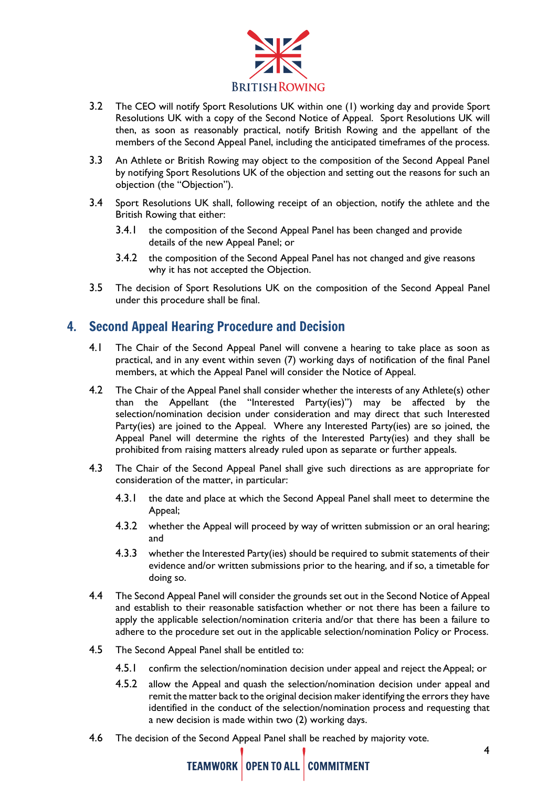

- 3.2 The CEO will notify Sport Resolutions UK within one (1) working day and provide Sport Resolutions UK with a copy of the Second Notice of Appeal. Sport Resolutions UK will then, as soon as reasonably practical, notify British Rowing and the appellant of the members of the Second Appeal Panel, including the anticipated timeframes of the process.
- 3.3 An Athlete or British Rowing may object to the composition of the Second Appeal Panel by notifying Sport Resolutions UK of the objection and setting out the reasons for such an objection (the "Objection").
- 3.4 Sport Resolutions UK shall, following receipt of an objection, notify the athlete and the British Rowing that either:
	- 3.4.1 the composition of the Second Appeal Panel has been changed and provide details of the new Appeal Panel; or
	- 3.4.2 the composition of the Second Appeal Panel has not changed and give reasons why it has not accepted the Objection.
- 3.5 The decision of Sport Resolutions UK on the composition of the Second Appeal Panel under this procedure shall be final.

## 4. Second Appeal Hearing Procedure and Decision

- 4.1 The Chair of the Second Appeal Panel will convene a hearing to take place as soon as practical, and in any event within seven (7) working days of notification of the final Panel members, at which the Appeal Panel will consider the Notice of Appeal.
- 4.2 The Chair of the Appeal Panel shall consider whether the interests of any Athlete(s) other than the Appellant (the "Interested Party(ies)") may be affected by the selection/nomination decision under consideration and may direct that such Interested Party(ies) are joined to the Appeal. Where any Interested Party(ies) are so joined, the Appeal Panel will determine the rights of the Interested Party(ies) and they shall be prohibited from raising matters already ruled upon as separate or further appeals.
- 4.3 The Chair of the Second Appeal Panel shall give such directions as are appropriate for consideration of the matter, in particular:
	- 4.3.1 the date and place at which the Second Appeal Panel shall meet to determine the Appeal;
	- 4.3.2 whether the Appeal will proceed by way of written submission or an oral hearing; and
	- 4.3.3 whether the Interested Party(ies) should be required to submit statements of their evidence and/or written submissions prior to the hearing, and if so, a timetable for doing so.
- 4.4 The Second Appeal Panel will consider the grounds set out in the Second Notice of Appeal and establish to their reasonable satisfaction whether or not there has been a failure to apply the applicable selection/nomination criteria and/or that there has been a failure to adhere to the procedure set out in the applicable selection/nomination Policy or Process.
- 4.5 The Second Appeal Panel shall be entitled to:
	- 4.5.1 confirm the selection/nomination decision under appeal and reject the Appeal; or
	- 4.5.2 allow the Appeal and quash the selection/nomination decision under appeal and remit the matter back to the original decision maker identifying the errors they have identified in the conduct of the selection/nomination process and requesting that a new decision is made within two (2) working days.
- 4.6 The decision of the Second Appeal Panel shall be reached by majority vote.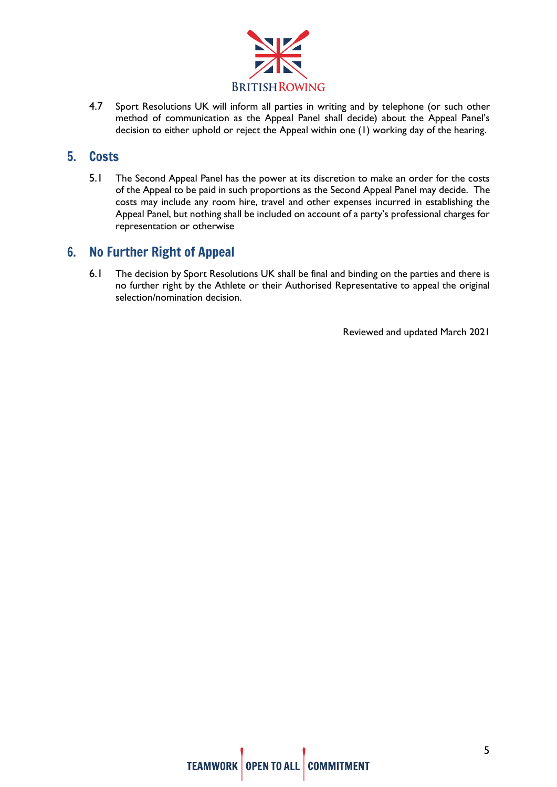

4.7 Sport Resolutions UK will inform all parties in writing and by telephone (or such other method of communication as the Appeal Panel shall decide) about the Appeal Panel's decision to either uphold or reject the Appeal within one (1) working day of the hearing.

### 5. Costs

5.1 The Second Appeal Panel has the power at its discretion to make an order for the costs of the Appeal to be paid in such proportions as the Second Appeal Panel may decide. The costs may include any room hire, travel and other expenses incurred in establishing the Appeal Panel, but nothing shall be included on account of a party's professional charges for representation or otherwise

# 6. No Further Right of Appeal

6.1 The decision by Sport Resolutions UK shall be final and binding on the parties and there is no further right by the Athlete or their Authorised Representative to appeal the original selection/nomination decision.

Reviewed and updated March 2021